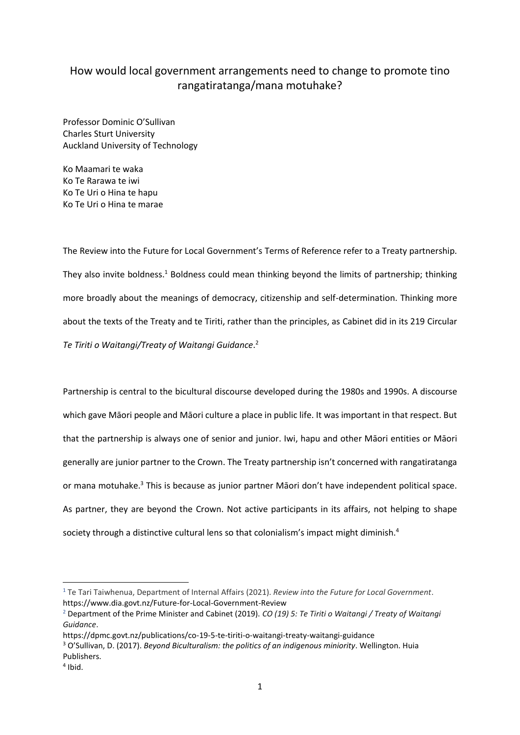## How would local government arrangements need to change to promote tino rangatiratanga/mana motuhake?

Professor Dominic O'Sullivan Charles Sturt University Auckland University of Technology

Ko Maamari te waka Ko Te Rarawa te iwi Ko Te Uri o Hina te hapu Ko Te Uri o Hina te marae

The Review into the Future for Local Government's Terms of Reference refer to a Treaty partnership. They also invite boldness.<sup>1</sup> Boldness could mean thinking beyond the limits of partnership; thinking more broadly about the meanings of democracy, citizenship and self-determination. Thinking more about the texts of the Treaty and te Tiriti, rather than the principles, as Cabinet did in its 219 Circular *Te Tiriti o Waitangi/Treaty of Waitangi Guidance*. 2

Partnership is central to the bicultural discourse developed during the 1980s and 1990s. A discourse which gave Māori people and Māori culture a place in public life. It was important in that respect. But that the partnership is always one of senior and junior. Iwi, hapu and other Māori entities or Māori generally are junior partner to the Crown. The Treaty partnership isn't concerned with rangatiratanga or mana motuhake.<sup>3</sup> This is because as junior partner Māori don't have independent political space. As partner, they are beyond the Crown. Not active participants in its affairs, not helping to shape society through a distinctive cultural lens so that colonialism's impact might diminish.<sup>4</sup>

1

<sup>1</sup> Te Tari Taiwhenua, [Department](https://www.dia.govt.nz/) of Internal Affairs (2021). *Review into the Future for Local Government*. https://www.dia.govt.nz/Future-for-Local-Government-Review

<sup>2</sup> Department of the Prime Minister and Cabinet (2019). *CO (19) 5: Te Tiriti o Waitangi / Treaty of Waitangi Guidance*.

https://dpmc.govt.nz/publications/co-19-5-te-tiriti-o-waitangi-treaty-waitangi-guidance

<sup>3</sup> O'Sullivan, D. (2017). *Beyond Biculturalism: the politics of an indigenous miniority*. Wellington. Huia Publishers.

<sup>4</sup> Ibid.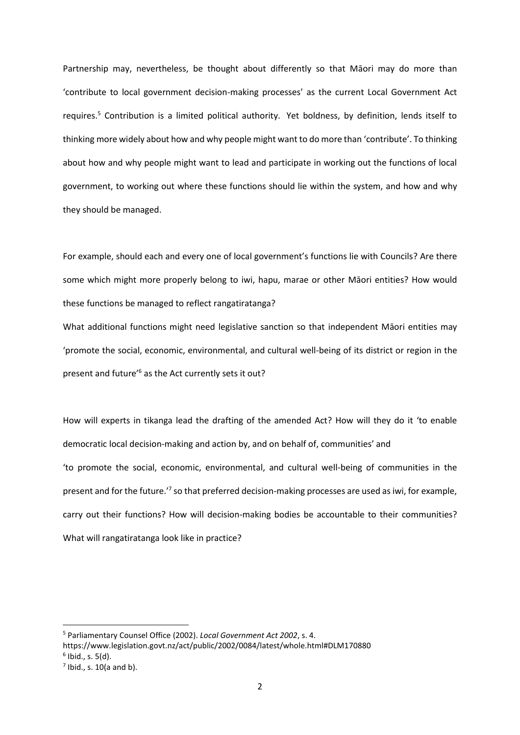Partnership may, nevertheless, be thought about differently so that Māori may do more than 'contribute to local government decision-making processes' as the current Local Government Act requires. <sup>5</sup> Contribution is a limited political authority. Yet boldness, by definition, lends itself to thinking more widely about how and why people might want to do more than 'contribute'. To thinking about how and why people might want to lead and participate in working out the functions of local government, to working out where these functions should lie within the system, and how and why they should be managed.

For example, should each and every one of local government's functions lie with Councils? Are there some which might more properly belong to iwi, hapu, marae or other Māori entities? How would these functions be managed to reflect rangatiratanga?

What additional functions might need legislative sanction so that independent Māori entities may 'promote the social, economic, environmental, and cultural well-being of its district or region in the present and future'<sup>6</sup> as the Act currently sets it out?

How will experts in tikanga lead the drafting of the amended Act? How will they do it 'to enable democratic local decision-making and action by, and on behalf of, communities' and 'to promote the social, economic, environmental, and cultural well-being of communities in the present and for the future.<sup>7</sup> so that preferred decision-making processes are used as iwi, for example, carry out their functions? How will decision-making bodies be accountable to their communities? What will rangatiratanga look like in practice?

1

<sup>5</sup> Parliamentary Counsel Office (2002). *Local Government Act 2002*, s. 4.

https://www.legislation.govt.nz/act/public/2002/0084/latest/whole.html#DLM170880 6 Ibid., s. 5(d).

 $<sup>7</sup>$  Ibid., s. 10(a and b).</sup>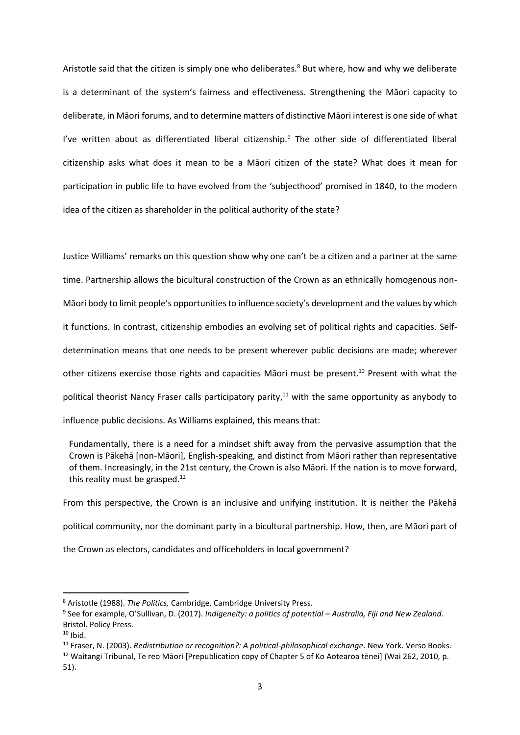Aristotle said that the citizen is simply one who deliberates.<sup>8</sup> But where, how and why we deliberate is a determinant of the system's fairness and effectiveness. Strengthening the Māori capacity to deliberate, in Māori forums, and to determine matters of distinctive Māori interest is one side of what I've written about as differentiated liberal citizenship.<sup>9</sup> The other side of differentiated liberal citizenship asks what does it mean to be a Māori citizen of the state? What does it mean for participation in public life to have evolved from the 'subjecthood' promised in 1840, to the modern idea of the citizen as shareholder in the political authority of the state?

Justice Williams' remarks on this question show why one can't be a citizen and a partner at the same time. Partnership allows the bicultural construction of the Crown as an ethnically homogenous non-Māori body to limit people's opportunities to influence society's development and the values by which it functions. In contrast, citizenship embodies an evolving set of political rights and capacities. Selfdetermination means that one needs to be present wherever public decisions are made; wherever other citizens exercise those rights and capacities Māori must be present.<sup>10</sup> Present with what the political theorist Nancy Fraser calls participatory parity,<sup>11</sup> with the same opportunity as anybody to influence public decisions. As Williams explained, this means that:

Fundamentally, there is a need for a mindset shift away from the pervasive assumption that the Crown is Pākehā [non-Māori], English-speaking, and distinct from Māori rather than representative of them. Increasingly, in the 21st century, the Crown is also Māori. If the nation is to move forward, this reality must be grasped. $12$ 

From this perspective, the Crown is an inclusive and unifying institution. It is neither the Pākehā political community, nor the dominant party in a bicultural partnership. How, then, are Māori part of the Crown as electors, candidates and officeholders in local government?

**.** 

<sup>8</sup> Aristotle (1988). *The Politics,* Cambridge, Cambridge University Press.

<sup>9</sup> See for example, O'Sullivan, D. (2017). *Indigeneity: a politics of potential – Australia, Fiji and New Zealand*. Bristol. Policy Press.

 $10$  Ibid.

<sup>11</sup> Fraser, N. (2003). *Redistribution or recognition?: A political-philosophical exchange*. New York. Verso Books.

<sup>&</sup>lt;sup>12</sup> Waitangi Tribunal, Te reo Māori [Prepublication copy of Chapter 5 of Ko Aotearoa tēnei] (Wai 262, 2010, p. 51).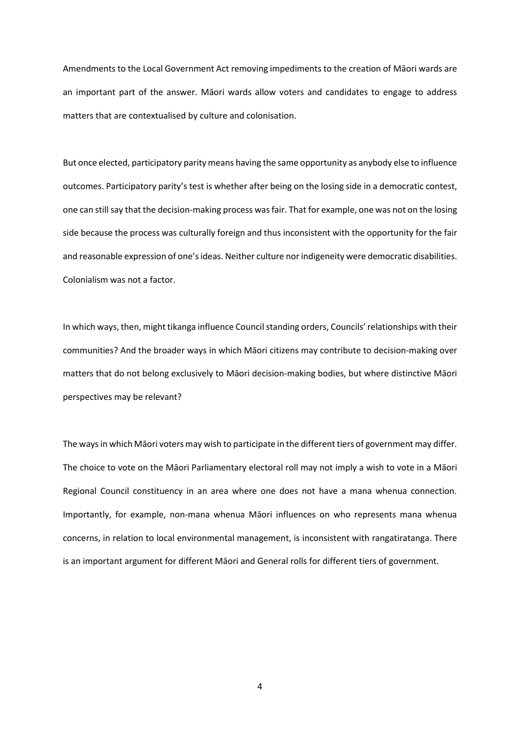Amendments to the Local Government Act removing impediments to the creation of Māori wards are an important part of the answer. Māori wards allow voters and candidates to engage to address matters that are contextualised by culture and colonisation.

But once elected, participatory parity means having the same opportunity as anybody else to influence outcomes. Participatory parity's test is whether after being on the losing side in a democratic contest, one can still say that the decision-making process was fair. That for example, one was not on the losing side because the process was culturally foreign and thus inconsistent with the opportunity for the fair and reasonable expression of one's ideas. Neither culture nor indigeneity were democratic disabilities. Colonialism was not a factor.

In which ways, then, might tikanga influence Council standing orders, Councils' relationships with their communities? And the broader ways in which Māori citizens may contribute to decision-making over matters that do not belong exclusively to Māori decision-making bodies, but where distinctive Māori perspectives may be relevant?

The ways in which Māori voters may wish to participate in the different tiers of government may differ. The choice to vote on the Māori Parliamentary electoral roll may not imply a wish to vote in a Māori Regional Council constituency in an area where one does not have a mana whenua connection. Importantly, for example, non-mana whenua Māori influences on who represents mana whenua concerns, in relation to local environmental management, is inconsistent with rangatiratanga. There is an important argument for different Māori and General rolls for different tiers of government.